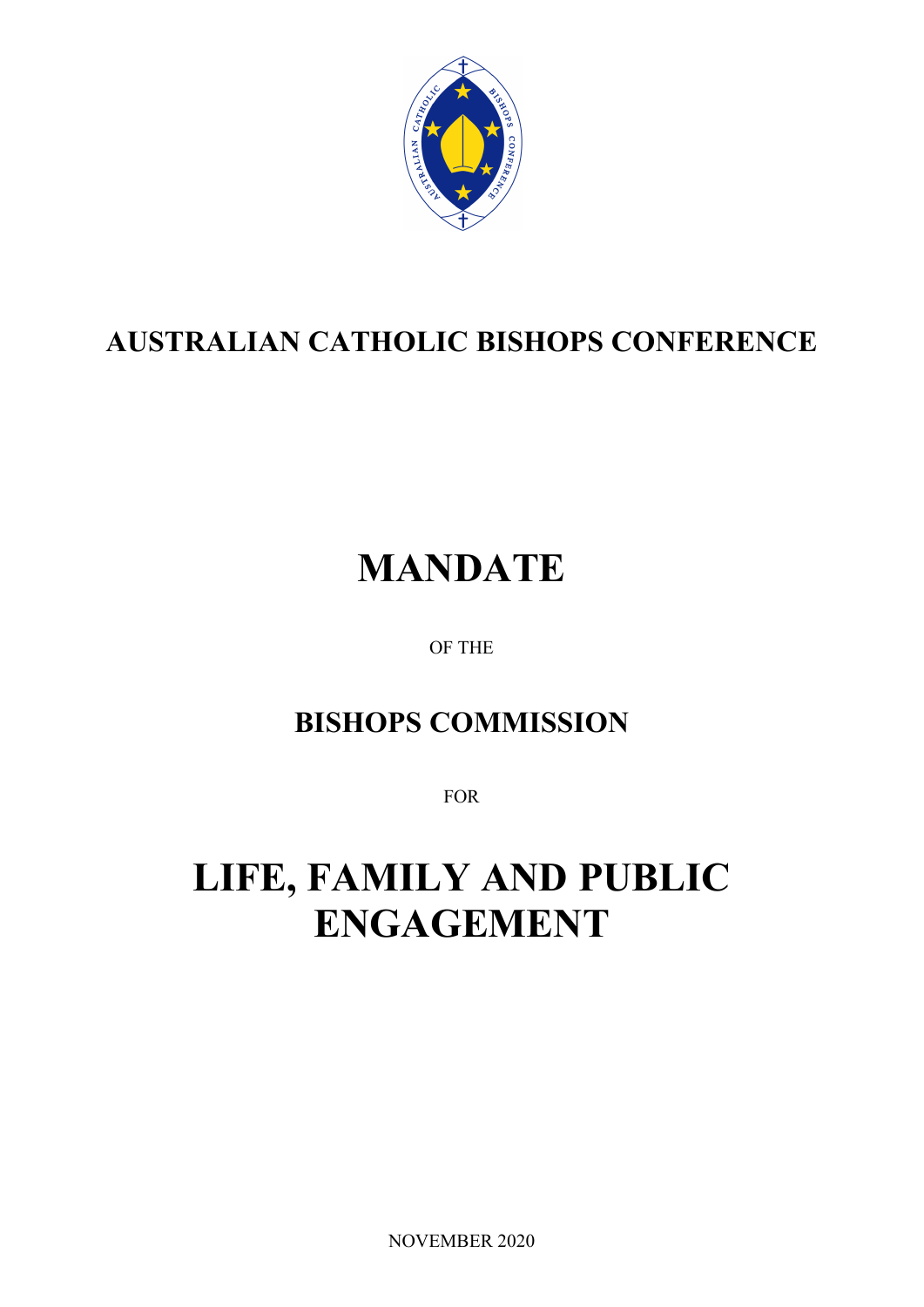

## **AUSTRALIAN CATHOLIC BISHOPS CONFERENCE**

# **MANDATE**

OF THE

### **BISHOPS COMMISSION**

FOR

## **LIFE, FAMILY AND PUBLIC ENGAGEMENT**

NOVEMBER 2020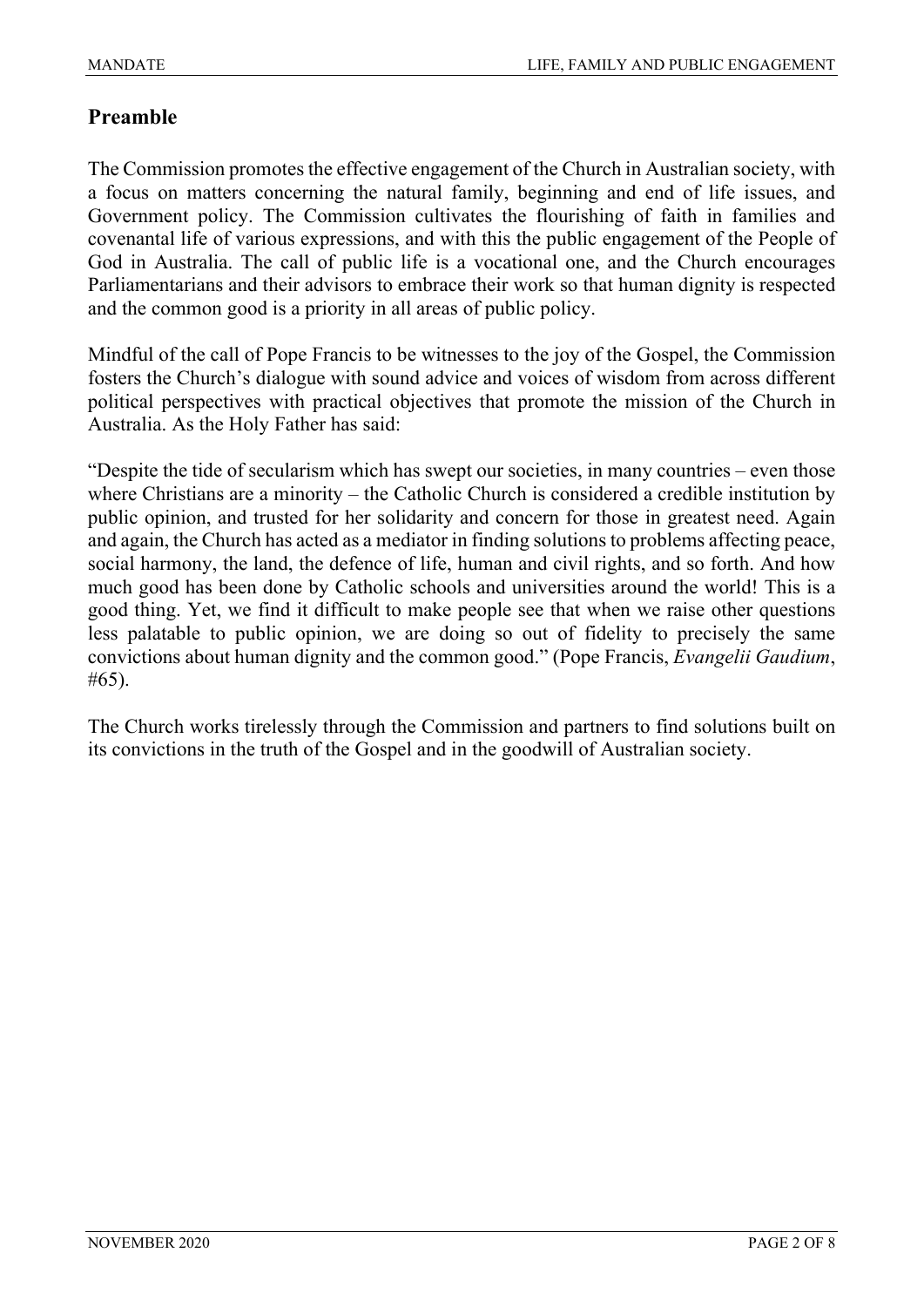#### **Preamble**

The Commission promotes the effective engagement of the Church in Australian society, with a focus on matters concerning the natural family, beginning and end of life issues, and Government policy. The Commission cultivates the flourishing of faith in families and covenantal life of various expressions, and with this the public engagement of the People of God in Australia. The call of public life is a vocational one, and the Church encourages Parliamentarians and their advisors to embrace their work so that human dignity is respected and the common good is a priority in all areas of public policy.

Mindful of the call of Pope Francis to be witnesses to the joy of the Gospel, the Commission fosters the Church's dialogue with sound advice and voices of wisdom from across different political perspectives with practical objectives that promote the mission of the Church in Australia. As the Holy Father has said:

"Despite the tide of secularism which has swept our societies, in many countries – even those where Christians are a minority – the Catholic Church is considered a credible institution by public opinion, and trusted for her solidarity and concern for those in greatest need. Again and again, the Church has acted as a mediator in finding solutions to problems affecting peace, social harmony, the land, the defence of life, human and civil rights, and so forth. And how much good has been done by Catholic schools and universities around the world! This is a good thing. Yet, we find it difficult to make people see that when we raise other questions less palatable to public opinion, we are doing so out of fidelity to precisely the same convictions about human dignity and the common good." (Pope Francis, *Evangelii Gaudium*, #65).

The Church works tirelessly through the Commission and partners to find solutions built on its convictions in the truth of the Gospel and in the goodwill of Australian society.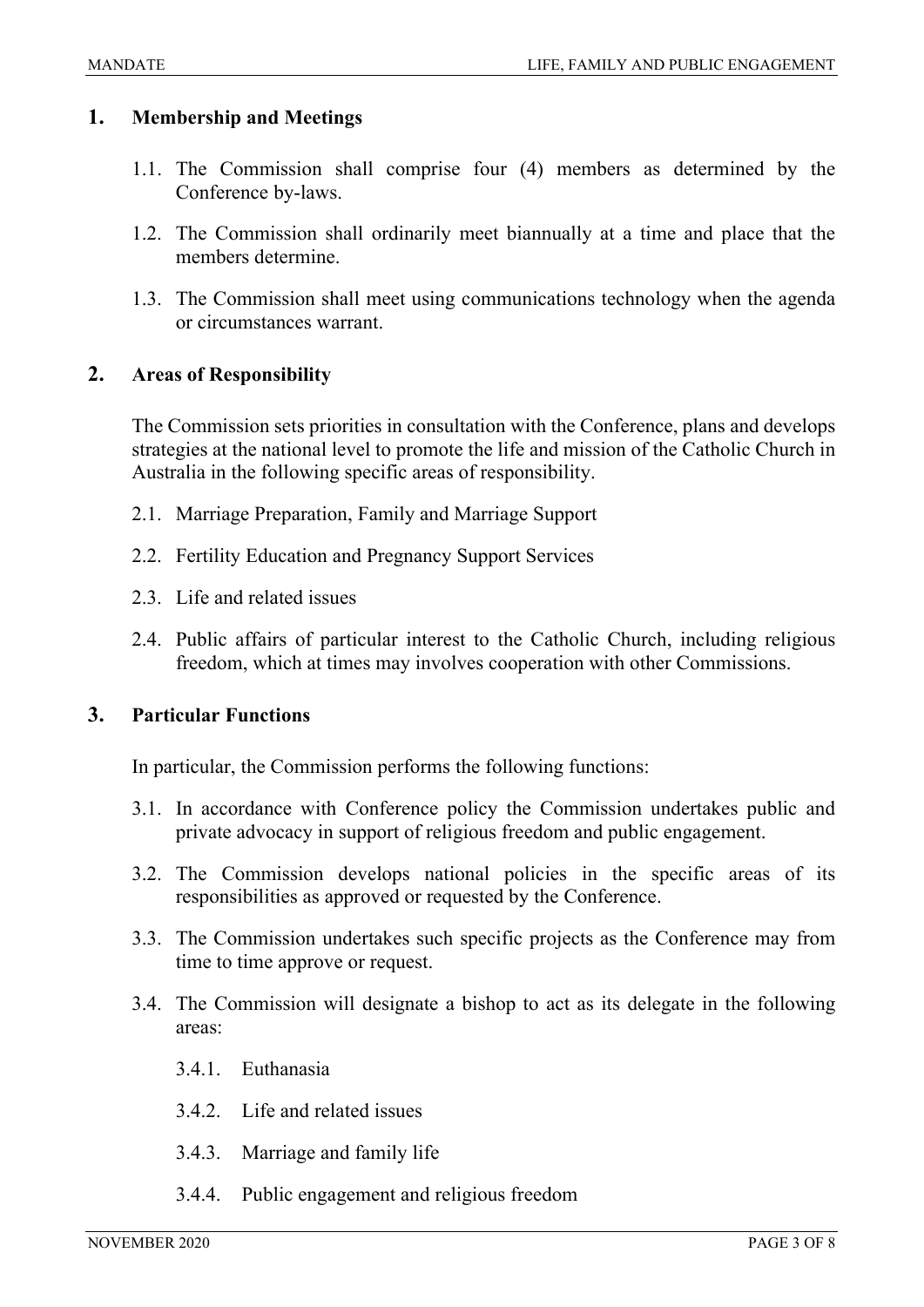#### **1. Membership and Meetings**

- 1.1. The Commission shall comprise four (4) members as determined by the Conference by-laws.
- 1.2. The Commission shall ordinarily meet biannually at a time and place that the members determine.
- 1.3. The Commission shall meet using communications technology when the agenda or circumstances warrant.

#### **2. Areas of Responsibility**

The Commission sets priorities in consultation with the Conference, plans and develops strategies at the national level to promote the life and mission of the Catholic Church in Australia in the following specific areas of responsibility.

- 2.1. Marriage Preparation, Family and Marriage Support
- 2.2. Fertility Education and Pregnancy Support Services
- 2.3. Life and related issues
- 2.4. Public affairs of particular interest to the Catholic Church, including religious freedom, which at times may involves cooperation with other Commissions.

#### **3. Particular Functions**

In particular, the Commission performs the following functions:

- 3.1. In accordance with Conference policy the Commission undertakes public and private advocacy in support of religious freedom and public engagement.
- 3.2. The Commission develops national policies in the specific areas of its responsibilities as approved or requested by the Conference.
- 3.3. The Commission undertakes such specific projects as the Conference may from time to time approve or request.
- 3.4. The Commission will designate a bishop to act as its delegate in the following areas:
	- 3.4.1. Euthanasia
	- 3.4.2. Life and related issues
	- 3.4.3. Marriage and family life
	- 3.4.4. Public engagement and religious freedom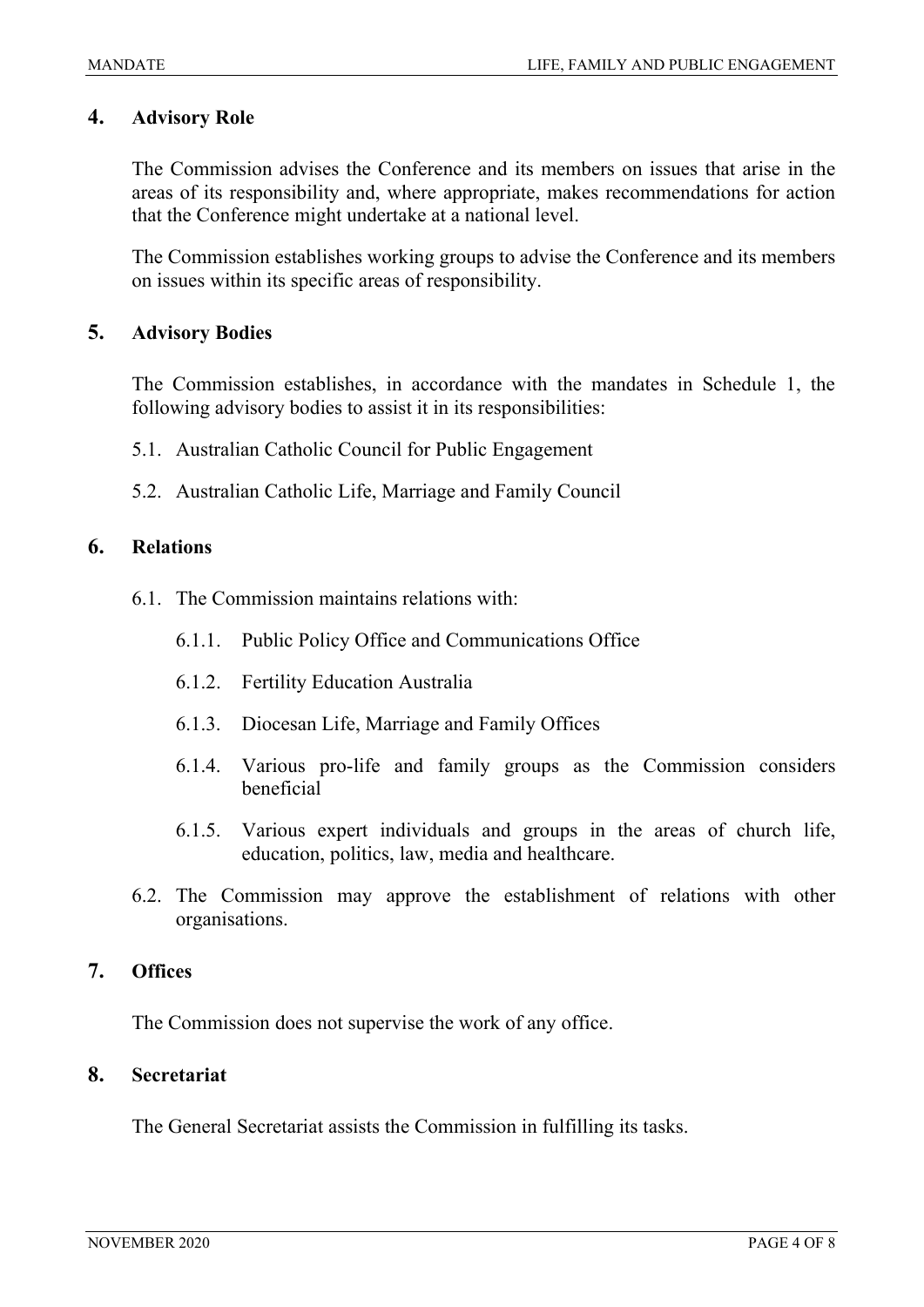#### **4. Advisory Role**

The Commission advises the Conference and its members on issues that arise in the areas of its responsibility and, where appropriate, makes recommendations for action that the Conference might undertake at a national level.

The Commission establishes working groups to advise the Conference and its members on issues within its specific areas of responsibility.

#### **5. Advisory Bodies**

The Commission establishes, in accordance with the mandates in Schedule 1, the following advisory bodies to assist it in its responsibilities:

- 5.1. Australian Catholic Council for Public Engagement
- 5.2. Australian Catholic Life, Marriage and Family Council

#### **6. Relations**

- 6.1. The Commission maintains relations with:
	- 6.1.1. Public Policy Office and Communications Office
	- 6.1.2. Fertility Education Australia
	- 6.1.3. Diocesan Life, Marriage and Family Offices
	- 6.1.4. Various pro-life and family groups as the Commission considers beneficial
	- 6.1.5. Various expert individuals and groups in the areas of church life, education, politics, law, media and healthcare.
- 6.2. The Commission may approve the establishment of relations with other organisations.

#### **7. Offices**

The Commission does not supervise the work of any office.

#### **8. Secretariat**

The General Secretariat assists the Commission in fulfilling its tasks.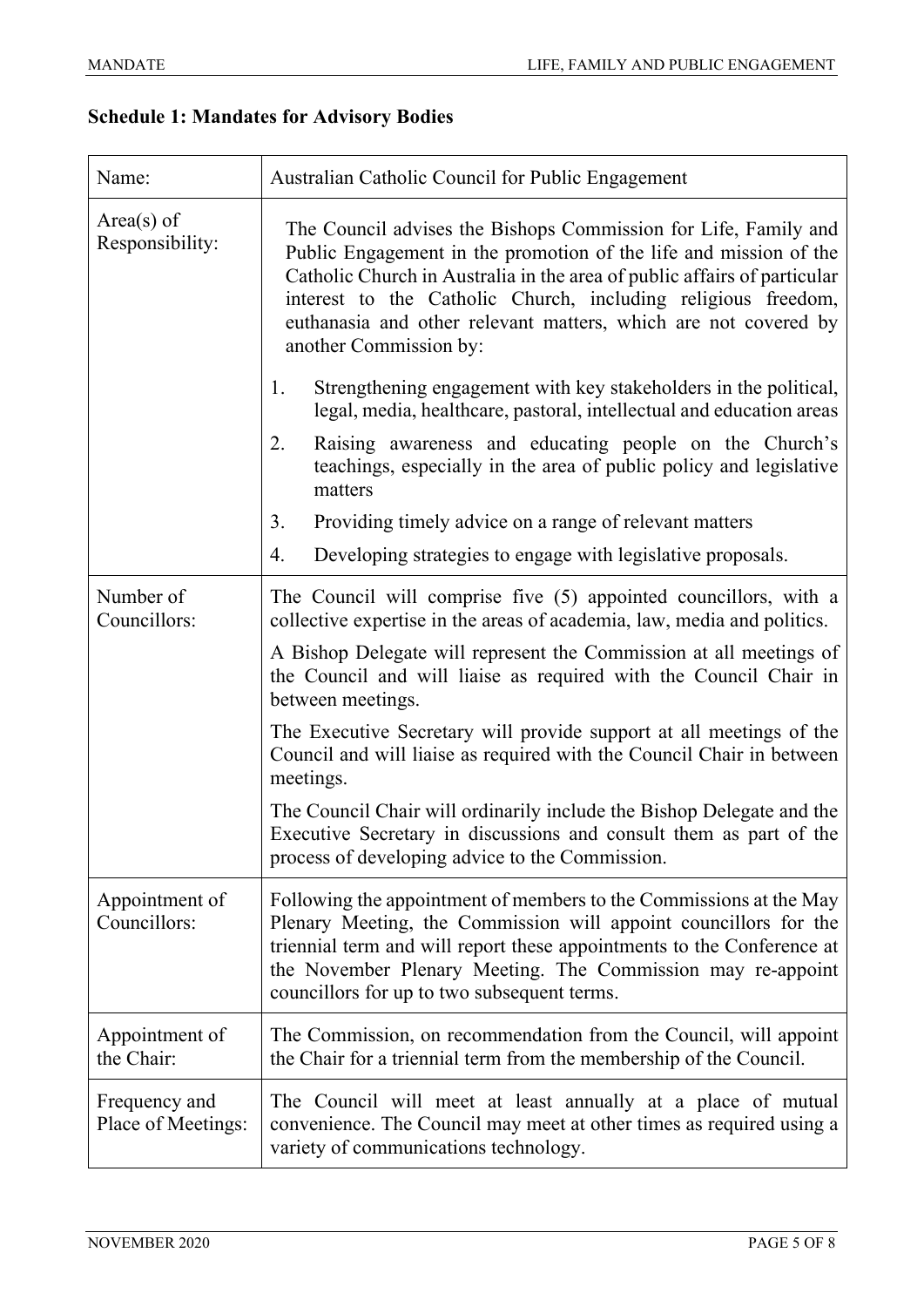### **Schedule 1: Mandates for Advisory Bodies**

| Name:                               | Australian Catholic Council for Public Engagement                                                                                                                                                                                                                                                                                                                              |
|-------------------------------------|--------------------------------------------------------------------------------------------------------------------------------------------------------------------------------------------------------------------------------------------------------------------------------------------------------------------------------------------------------------------------------|
| $Area(s)$ of<br>Responsibility:     | The Council advises the Bishops Commission for Life, Family and<br>Public Engagement in the promotion of the life and mission of the<br>Catholic Church in Australia in the area of public affairs of particular<br>interest to the Catholic Church, including religious freedom,<br>euthanasia and other relevant matters, which are not covered by<br>another Commission by: |
|                                     | Strengthening engagement with key stakeholders in the political,<br>1.<br>legal, media, healthcare, pastoral, intellectual and education areas                                                                                                                                                                                                                                 |
|                                     | Raising awareness and educating people on the Church's<br>2.<br>teachings, especially in the area of public policy and legislative<br>matters                                                                                                                                                                                                                                  |
|                                     | Providing timely advice on a range of relevant matters<br>3.                                                                                                                                                                                                                                                                                                                   |
|                                     | Developing strategies to engage with legislative proposals.<br>4.                                                                                                                                                                                                                                                                                                              |
| Number of<br>Councillors:           | The Council will comprise five (5) appointed councillors, with a<br>collective expertise in the areas of academia, law, media and politics.                                                                                                                                                                                                                                    |
|                                     | A Bishop Delegate will represent the Commission at all meetings of<br>the Council and will liaise as required with the Council Chair in<br>between meetings.                                                                                                                                                                                                                   |
|                                     | The Executive Secretary will provide support at all meetings of the<br>Council and will liaise as required with the Council Chair in between<br>meetings.                                                                                                                                                                                                                      |
|                                     | The Council Chair will ordinarily include the Bishop Delegate and the<br>Executive Secretary in discussions and consult them as part of the<br>process of developing advice to the Commission.                                                                                                                                                                                 |
| Appointment of<br>Councillors:      | Following the appointment of members to the Commissions at the May<br>Plenary Meeting, the Commission will appoint councillors for the<br>triennial term and will report these appointments to the Conference at<br>the November Plenary Meeting. The Commission may re-appoint<br>councillors for up to two subsequent terms.                                                 |
| Appointment of<br>the Chair:        | The Commission, on recommendation from the Council, will appoint<br>the Chair for a triennial term from the membership of the Council.                                                                                                                                                                                                                                         |
| Frequency and<br>Place of Meetings: | The Council will meet at least annually at a place of mutual<br>convenience. The Council may meet at other times as required using a<br>variety of communications technology.                                                                                                                                                                                                  |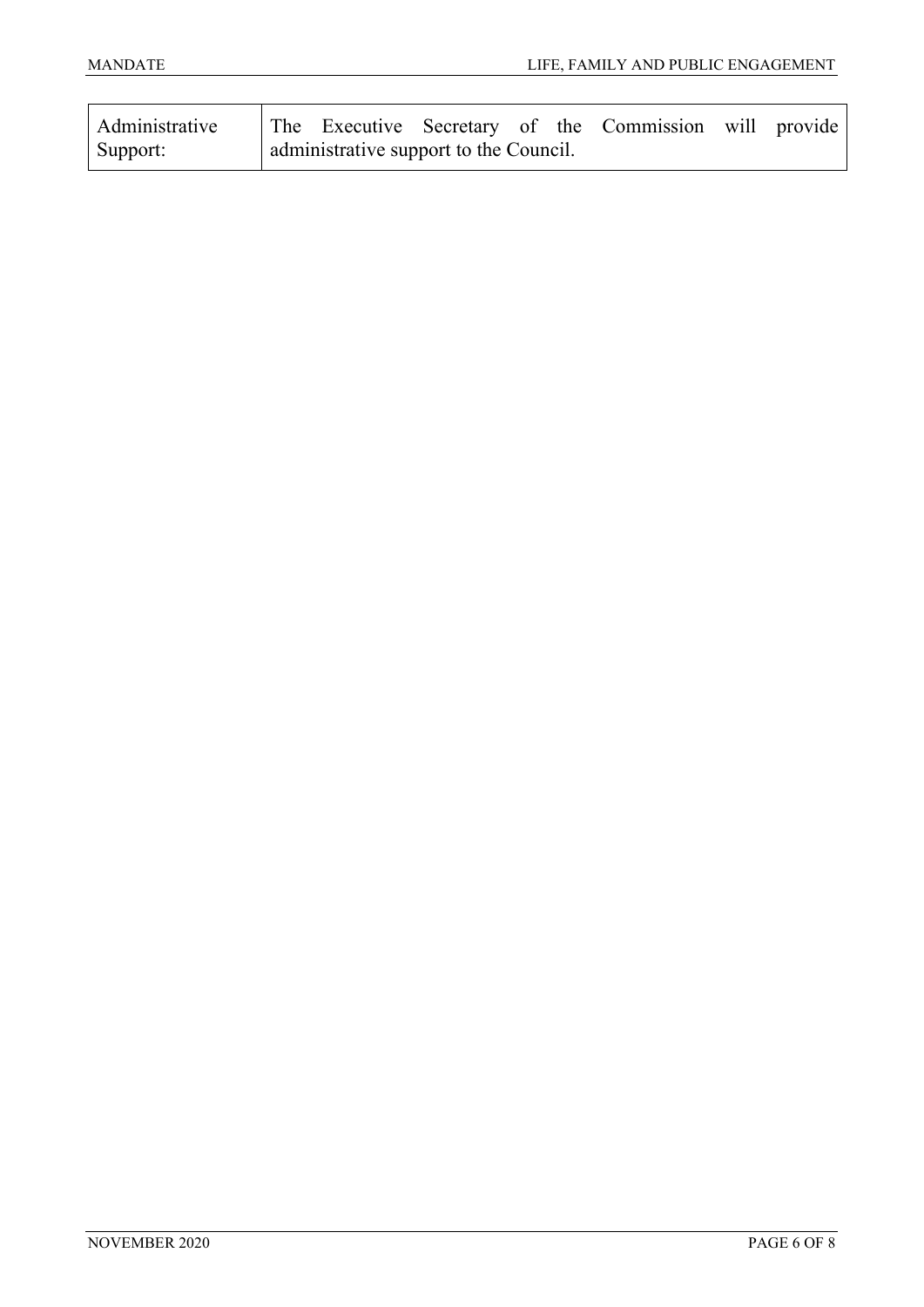| Administrative |                                        |  | The Executive Secretary of the Commission will provide |  |
|----------------|----------------------------------------|--|--------------------------------------------------------|--|
| Support:       | administrative support to the Council. |  |                                                        |  |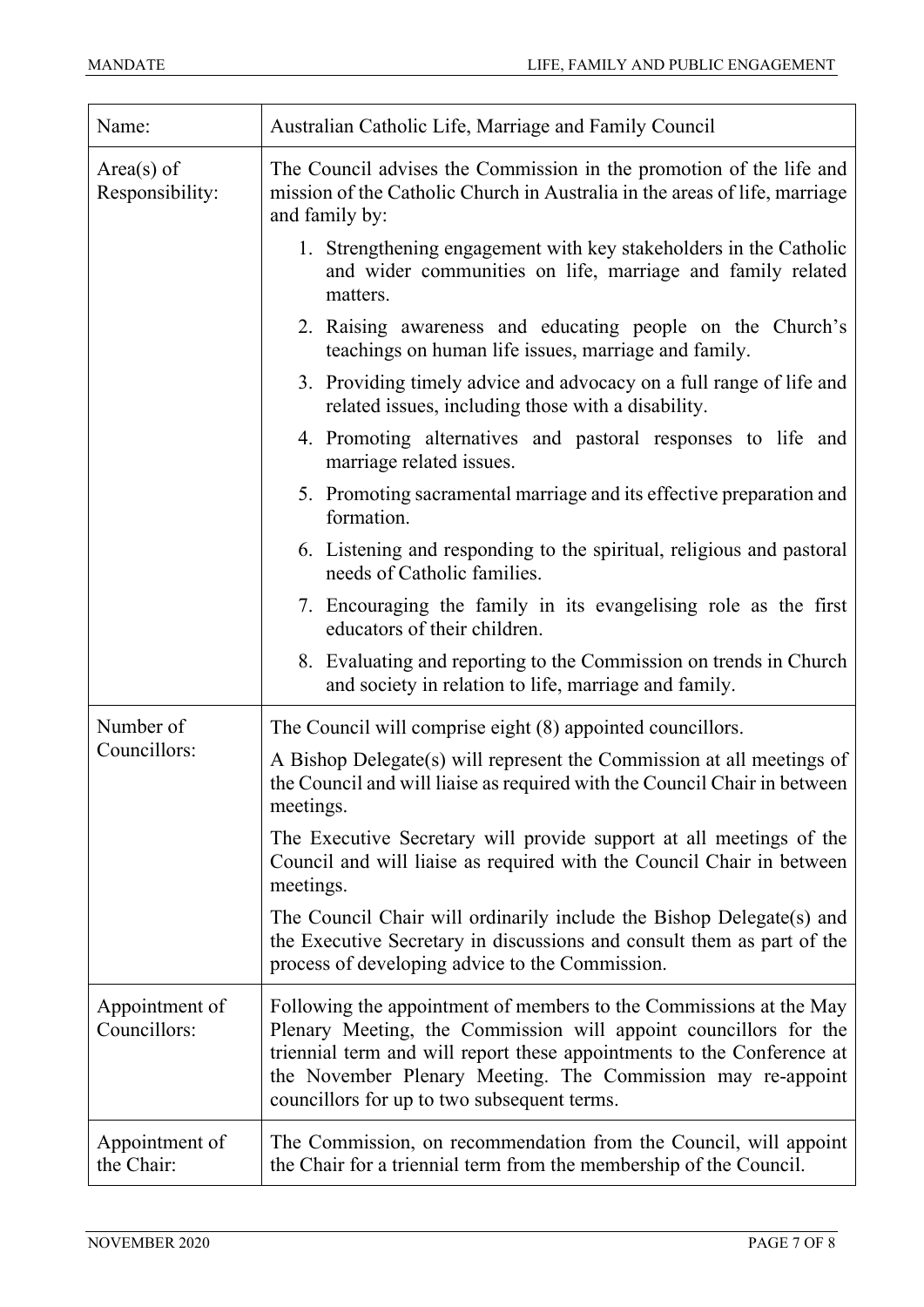| Name:                           | Australian Catholic Life, Marriage and Family Council                                                                                                                                                                                                                                                                          |  |  |  |
|---------------------------------|--------------------------------------------------------------------------------------------------------------------------------------------------------------------------------------------------------------------------------------------------------------------------------------------------------------------------------|--|--|--|
| $Area(s)$ of<br>Responsibility: | The Council advises the Commission in the promotion of the life and<br>mission of the Catholic Church in Australia in the areas of life, marriage<br>and family by:                                                                                                                                                            |  |  |  |
|                                 | 1. Strengthening engagement with key stakeholders in the Catholic<br>and wider communities on life, marriage and family related<br>matters.                                                                                                                                                                                    |  |  |  |
|                                 | 2. Raising awareness and educating people on the Church's<br>teachings on human life issues, marriage and family.                                                                                                                                                                                                              |  |  |  |
|                                 | 3. Providing timely advice and advocacy on a full range of life and<br>related issues, including those with a disability.                                                                                                                                                                                                      |  |  |  |
|                                 | 4. Promoting alternatives and pastoral responses to life and<br>marriage related issues.                                                                                                                                                                                                                                       |  |  |  |
|                                 | 5. Promoting sacramental marriage and its effective preparation and<br>formation.                                                                                                                                                                                                                                              |  |  |  |
|                                 | 6. Listening and responding to the spiritual, religious and pastoral<br>needs of Catholic families.                                                                                                                                                                                                                            |  |  |  |
|                                 | 7. Encouraging the family in its evangelising role as the first<br>educators of their children.                                                                                                                                                                                                                                |  |  |  |
|                                 | 8. Evaluating and reporting to the Commission on trends in Church<br>and society in relation to life, marriage and family.                                                                                                                                                                                                     |  |  |  |
| Number of                       | The Council will comprise eight (8) appointed councillors.                                                                                                                                                                                                                                                                     |  |  |  |
| Councillors:                    | A Bishop Delegate(s) will represent the Commission at all meetings of<br>the Council and will liaise as required with the Council Chair in between<br>meetings.                                                                                                                                                                |  |  |  |
|                                 | The Executive Secretary will provide support at all meetings of the<br>Council and will liaise as required with the Council Chair in between<br>meetings.                                                                                                                                                                      |  |  |  |
|                                 | The Council Chair will ordinarily include the Bishop Delegate(s) and<br>the Executive Secretary in discussions and consult them as part of the<br>process of developing advice to the Commission.                                                                                                                              |  |  |  |
| Appointment of<br>Councillors:  | Following the appointment of members to the Commissions at the May<br>Plenary Meeting, the Commission will appoint councillors for the<br>triennial term and will report these appointments to the Conference at<br>the November Plenary Meeting. The Commission may re-appoint<br>councillors for up to two subsequent terms. |  |  |  |
| Appointment of<br>the Chair:    | The Commission, on recommendation from the Council, will appoint<br>the Chair for a triennial term from the membership of the Council.                                                                                                                                                                                         |  |  |  |